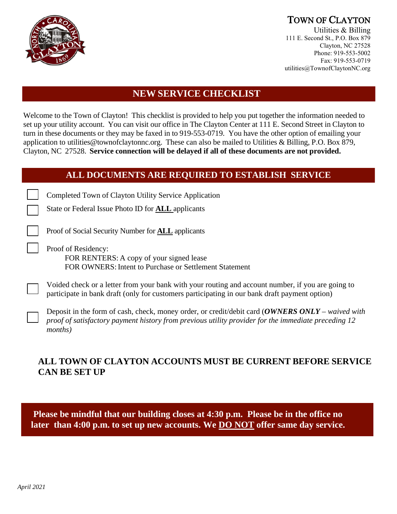

# TOWN OF CLAYTON<br>Utilities & Billing

111 E. Second St., P.O. Box 879 Clayton, NC 27528 Phone: 919-553-5002 Fax: 919-553-0719 utilities@TownofClaytonNC.org

## **NEW SERVICE CHECKLIST**

Welcome to the Town of Clayton! This checklist is provided to help you put together the information needed to set up your utility account. You can visit our office in The Clayton Center at 111 E. Second Street in Clayton to turn in these documents or they may be faxed in to 919-553-0719. You have the other option of emailing your application to [utilities@townofclaytonnc.org.](mailto:utilities@townofclaytonnc.org) These can also be mailed to Utilities & Billing, P.O. Box 879, Clayton, NC 27528. **Service connection will be delayed if all of these documents are not provided.**

### **ALL DOCUMENTS ARE REQUIRED TO ESTABLISH SERVICE**

Completed Town of Clayton Utility Service Application

State or Federal Issue Photo ID for **ALL** applicants

Proof of Social Security Number for **ALL** applicants

Proof of Residency:

FOR RENTERS: A copy of your signed lease FOR OWNERS: Intent to Purchase or Settlement Statement

Voided check or a letter from your bank with your routing and account number, if you are going to participate in bank draft (only for customers participating in our bank draft payment option)

Deposit in the form of cash, check, money order, or credit/debit card (*OWNERS ONLY – waived with proof of satisfactory payment history from previous utility provider for the immediate preceding 12 months)*

## **ALL TOWN OF CLAYTON ACCOUNTS MUST BE CURRENT BEFORE SERVICE CAN BE SET UP**

**Please be mindful that our building closes at 4:30 p.m. Please be in the office no later than 4:00 p.m. to set up new accounts. We DO NOT offer same day service.**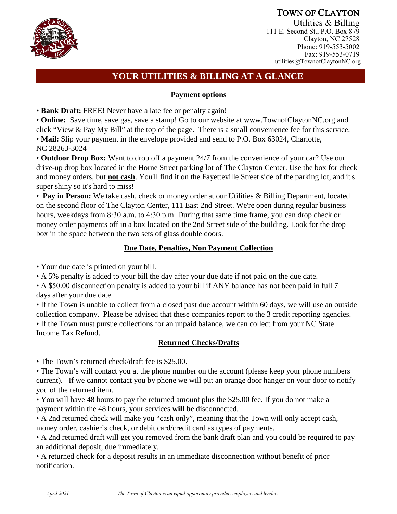

TOWN OF CLAYTON<br>Utilities & Billing 111 E. Second St., P.O. Box 879 Clayton, NC 27528 Phone: 919-553-5002 Fax: 919-553-0719 utilities@TownofClaytonNC.org

## **YOUR UTILITIES & BILLING AT A GLANCE**

#### **Payment options**

• **Bank Draft:** FREE! Never have a late fee or penalty again!

• **Online:** Save time, save gas, save a stamp! Go to our website at www.TownofClaytonNC.org and click "View & Pay My Bill" at the top of the page. There is a small convenience fee for this service. • **Mail:** Slip your payment in the envelope provided and send to P.O. Box 63024, Charlotte, NC 28263-3024

• **Outdoor Drop Box:** Want to drop off a payment 24/7 from the convenience of your car? Use our drive-up drop box located in the Horne Street parking lot of The Clayton Center. Use the box for check and money orders, but **not cash**. You'll find it on the Fayetteville Street side of the parking lot, and it's super shiny so it's hard to miss!

• **Pay in Person:** We take cash, check or money order at our Utilities & Billing Department, located on the second floor of The Clayton Center, 111 East 2nd Street. We're open during regular business hours, weekdays from 8:30 a.m. to 4:30 p.m. During that same time frame, you can drop check or money order payments off in a box located on the 2nd Street side of the building. Look for the drop box in the space between the two sets of glass double doors.

#### **Due Date, Penalties, Non Payment Collection**

• Your due date is printed on your bill.

• A 5% penalty is added to your bill the day after your due date if not paid on the due date.

• A \$50.00 disconnection penalty is added to your bill if ANY balance has not been paid in full 7 days after your due date.

• If the Town is unable to collect from a closed past due account within 60 days, we will use an outside collection company. Please be advised that these companies report to the 3 credit reporting agencies.

• If the Town must pursue collections for an unpaid balance, we can collect from your NC State Income Tax Refund.

### **Returned Checks/Drafts**

• The Town's returned check/draft fee is \$25.00.

• The Town's will contact you at the phone number on the account (please keep your phone numbers current). If we cannot contact you by phone we will put an orange door hanger on your door to notify you of the returned item.

• You will have 48 hours to pay the returned amount plus the \$25.00 fee. If you do not make a payment within the 48 hours, your services **will be** disconnected.

• A 2nd returned check will make you "cash only", meaning that the Town will only accept cash, money order, cashier's check, or debit card/credit card as types of payments.

• A 2nd returned draft will get you removed from the bank draft plan and you could be required to pay an additional deposit, due immediately.

• A returned check for a deposit results in an immediate disconnection without benefit of prior notification.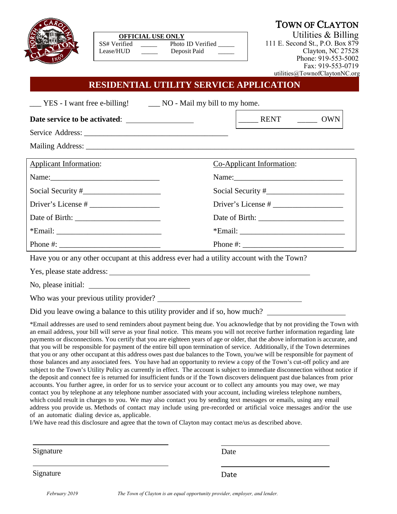

| <b>OFFICIAL USE ONLY</b> |                   |
|--------------------------|-------------------|
| SS# Verified             | Photo ID Verified |
| Lease/HUD                | Deposit Paid      |

111 E. Second St., P.O. Box 879 Clayton, NC 27528 Phone: 919-553-5002 Fax: 919-553-0719 utilities@TownofClaytonNC.org

## **RESIDENTIAL UTILITY SERVICE APPLICATION**

| ___ YES - I want free e-billing! ____ NO - Mail my bill to my home.                                            |                                                                                                                |  |
|----------------------------------------------------------------------------------------------------------------|----------------------------------------------------------------------------------------------------------------|--|
|                                                                                                                | $\begin{array}{ccc} \end{array}$ RENT $\begin{array}{ccc} & & \end{array}$ OWN                                 |  |
|                                                                                                                |                                                                                                                |  |
|                                                                                                                |                                                                                                                |  |
| <b>Applicant Information:</b>                                                                                  | Co-Applicant Information:                                                                                      |  |
| Name: 2008. 2010. 2010. 2010. 2010. 2010. 2010. 2010. 2010. 2010. 2011. 2012. 2012. 2012. 2012. 2013. 2014. 20 |                                                                                                                |  |
|                                                                                                                |                                                                                                                |  |
|                                                                                                                |                                                                                                                |  |
|                                                                                                                |                                                                                                                |  |
|                                                                                                                |                                                                                                                |  |
|                                                                                                                |                                                                                                                |  |
| Have you or any other occupant at this address ever had a utility account with the Town?                       |                                                                                                                |  |
| Yes, please state address:                                                                                     |                                                                                                                |  |
|                                                                                                                |                                                                                                                |  |
|                                                                                                                |                                                                                                                |  |
|                                                                                                                | Did you leave owing a balance to this utility provider and if so, how much? __________________________________ |  |
|                                                                                                                |                                                                                                                |  |

\*Email addresses are used to send reminders about payment being due. You acknowledge that by not providing the Town with an email address, your bill will serve as your final notice. This means you will not receive further information regarding late payments or disconnections. You certify that you are eighteen years of age or older, that the above information is accurate, and that you will be responsible for payment of the entire bill upon termination of service. Additionally, if the Town determines that you or any other occupant at this address owes past due balances to the Town, you/we will be responsible for payment of those balances and any associated fees. You have had an opportunity to review a copy of the Town's cut-off policy and are subject to the Town's Utility Policy as currently in effect. The account is subject to immediate disconnection without notice if the deposit and connect fee is returned for insufficient funds or if the Town discovers delinquent past due balances from prior accounts. You further agree, in order for us to service your account or to collect any amounts you may owe, we may contact you by telephone at any telephone number associated with your account, including wireless telephone numbers, which could result in charges to you. We may also contact you by sending text messages or emails, using any email address you provide us. Methods of contact may include using pre-recorded or artificial voice messages and/or the use of an automatic dialing device as, applicable.

I/We have read this disclosure and agree that the town of Clayton may contact me/us as described above.

| Signature | Date |
|-----------|------|
| Signature | Date |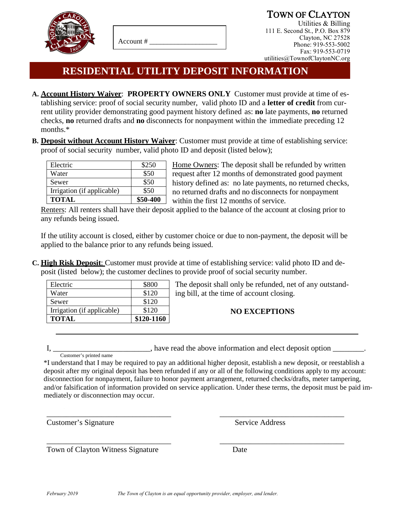

Account # \_\_\_\_\_\_\_\_\_\_\_\_\_\_\_\_\_\_\_

**TOWN OF CLAYTON**<br>Utilities & Billing

111 E. Second St., P.O. Box 879 Clayton, NC 27528 Phone: 919-553-5002 Fax: 919-553-0719 utilities@TownofClaytonNC.org

# **RESIDENTIAL UTILITY DEPOSIT INFORMATION**

- **A. Account History Waiver**: **PROPERTY OWNERS ONLY** Customer must provide at time of establishing service: proof of social security number, valid photo ID and a **letter of credit** from current utility provider demonstrating good payment history defined as: **no** late payments, **no** returned checks, **no** returned drafts and **no** disconnects for nonpayment within the immediate preceding 12 months.\*
- **B. Deposit without Account History Waiver**: Customer must provide at time of establishing service: proof of social security number, valid photo ID and deposit (listed below);

| <b>TOTAL</b>               | \$50-400 |
|----------------------------|----------|
| Irrigation (if applicable) | \$50     |
| Sewer                      | \$50     |
| Water                      | \$50     |
| Electric                   | \$250    |

Home Owners: The deposit shall be refunded by written request after 12 months of demonstrated good payment history defined as: no late payments, no returned checks, no returned drafts and no disconnects for nonpayment within the first 12 months of service.

Renters: All renters shall have their deposit applied to the balance of the account at closing prior to any refunds being issued.

If the utility account is closed, either by customer choice or due to non-payment, the deposit will be applied to the balance prior to any refunds being issued.

**C. High Risk Deposit**: Customer must provide at time of establishing service: valid photo ID and deposit (listed below); the customer declines to provide proof of social security number.

| Electric                   | \$800      |
|----------------------------|------------|
| Water                      | \$120      |
| Sewer                      | \$120      |
| Irrigation (if applicable) | \$120      |
| <b>TOTAL</b>               | \$120-1160 |

The deposit shall only be refunded, net of any outstanding bill, at the time of account closing.

### **NO EXCEPTIONS**

I, \_\_\_\_\_\_\_\_\_\_\_\_\_\_\_\_\_\_\_\_, have read the above information and elect deposit option \_\_\_\_\_\_\_.

 Customer's printed name \*I understand that I may be required to pay an additional higher deposit, establish a new deposit, or reestablish a deposit after my original deposit has been refunded if any or all of the following conditions apply to my account: disconnection for nonpayment, failure to honor payment arrangement, returned checks/drafts, meter tampering, and/or falsification of information provided on service application. Under these terms, the deposit must be paid immediately or disconnection may occur.

Customer's Signature Service Address

Town of Clayton Witness Signature Date

\_\_\_\_\_\_\_\_\_\_\_\_\_\_\_\_\_\_\_\_\_\_\_\_\_\_\_\_\_\_\_\_ \_\_\_\_\_\_\_\_\_\_\_\_\_\_\_\_\_\_\_\_\_\_\_\_\_\_\_\_\_\_\_\_

\_\_\_\_\_\_\_\_\_\_\_\_\_\_\_\_\_\_\_\_\_\_\_\_\_\_\_\_\_\_\_\_ \_\_\_\_\_\_\_\_\_\_\_\_\_\_\_\_\_\_\_\_\_\_\_\_\_\_\_\_\_\_\_\_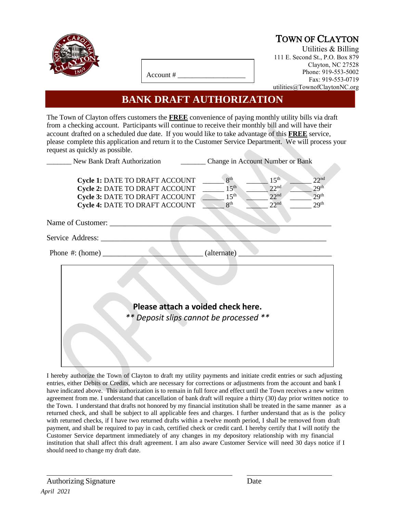

# TOWN OF CLAYTON<br>Utilities & Billing

111 E. Second St., P.O. Box 879 Clayton, NC 27528 Phone: 919-553-5002 Fax: 919-553-0719 utilities@TownofClaytonNC.org

Account # \_\_\_\_\_\_\_\_\_\_\_\_\_\_\_\_\_\_\_

## **BANK DRAFT AUTHORIZATION**

The Town of Clayton offers customers the **FREE** convenience of paying monthly utility bills via draft from a checking account. Participants will continue to receive their monthly bill and will have their account drafted on a scheduled due date. If you would like to take advantage of this **FREE** service, please complete this application and return it to the Customer Service Department. We will process your request as quickly as possible.

| New Bank Draft Authorization                                                                                                                                     | Change in Account Number or Bank                                           |                                                                              |                                                                              |
|------------------------------------------------------------------------------------------------------------------------------------------------------------------|----------------------------------------------------------------------------|------------------------------------------------------------------------------|------------------------------------------------------------------------------|
| <b>Cycle 1: DATE TO DRAFT ACCOUNT</b><br><b>Cycle 2: DATE TO DRAFT ACCOUNT</b><br><b>Cycle 3: DATE TO DRAFT ACCOUNT</b><br><b>Cycle 4: DATE TO DRAFT ACCOUNT</b> | 8 <sup>th</sup><br>15 <sup>th</sup><br>15 <sup>th</sup><br>8 <sup>th</sup> | 15 <sup>th</sup><br>22 <sup>nd</sup><br>22 <sup>nd</sup><br>22 <sup>nd</sup> | 22 <sup>nd</sup><br>29 <sup>th</sup><br>29 <sup>th</sup><br>29 <sup>th</sup> |
| Name of Customer:                                                                                                                                                |                                                                            |                                                                              |                                                                              |
| Service Address:                                                                                                                                                 |                                                                            |                                                                              |                                                                              |
| Phone #: $(home)$                                                                                                                                                | (alternate)                                                                |                                                                              |                                                                              |
| Please attach a voided check here.<br>** Deposit slips cannot be processed **                                                                                    |                                                                            |                                                                              |                                                                              |
|                                                                                                                                                                  |                                                                            |                                                                              |                                                                              |

I hereby authorize the Town of Clayton to draft my utility payments and initiate credit entries or such adjusting entries, either Debits or Credits, which are necessary for corrections or adjustments from the account and bank I have indicated above. This authorization is to remain in full force and effect until the Town receives a new written agreement from me. I understand that cancellation of bank draft will require a thirty (30) day prior written notice to the Town. I understand that drafts not honored by my financial institution shall be treated in the same manner as a returned check, and shall be subject to all applicable fees and charges. I further understand that as is the policy with returned checks, if I have two returned drafts within a twelve month period, I shall be removed from draft payment, and shall be required to pay in cash, certified check or credit card. I hereby certify that I will notify the Customer Service department immediately of any changes in my depository relationship with my financial institution that shall affect this draft agreement. I am also aware Customer Service will need 30 days notice if I should need to change my draft date.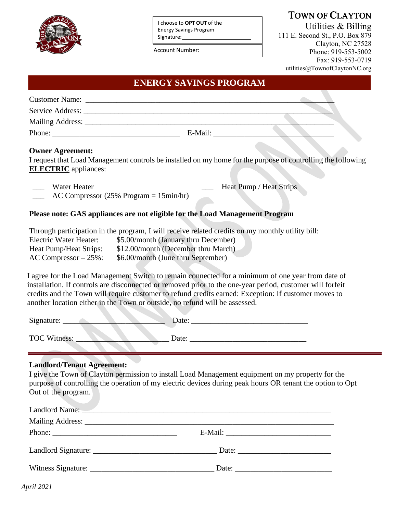

I choose to **OPT OUT** of the Energy Savings Program Signature:

Account Number:

## TOWN OF CLAYTON

Utilities & Billing 111 E. Second St., P.O. Box 879 Clayton, NC 27528 Phone: 919-553-5002 Fax: 919-553-0719 utilities@TownofClaytonNC.org

#### **ENERGY SAVINGS PROGRAM**

| <b>Customer Name:</b> |         |  |
|-----------------------|---------|--|
|                       |         |  |
|                       |         |  |
| Phone:                | E-Mail: |  |

#### **Owner Agreement:**

I request that Load Management controls be installed on my home for the purpose of controlling the following **ELECTRIC** appliances:

Water Heater **Water Heater Water Heat Pump / Heat Strips** 

AC Compressor (25% Program  $= 15$ min/hr)

#### **Please note: GAS appliances are not eligible for the Load Management Program**

|                           | Through participation in the program, I will receive related credits on my monthly utility bill: |
|---------------------------|--------------------------------------------------------------------------------------------------|
| Electric Water Heater:    | \$5.00/month (January thru December)                                                             |
| Heat Pump/Heat Strips:    | \$12.00/month (December thru March)                                                              |
| $AC$ Compressor $-25\%$ : | \$6.00/month (June thru September)                                                               |

I agree for the Load Management Switch to remain connected for a minimum of one year from date of installation. If controls are disconnected or removed prior to the one-year period, customer will forfeit credits and the Town will require customer to refund credits earned: Exception: If customer moves to another location either in the Town or outside, no refund will be assessed.

| Signature:          | Date: |
|---------------------|-------|
|                     |       |
| <b>TOC Witness:</b> | Date: |

#### **Landlord/Tenant Agreement:**

I give the Town of Clayton permission to install Load Management equipment on my property for the purpose of controlling the operation of my electric devices during peak hours OR tenant the option to Opt Out of the program.

| Landlord Name: <u>New York: New York: New York: New York: New York: New York: New York: New York: New York: New York: New York: New York: New York: New York: New York: New York: New York: New York: New York: New York: New Yo</u> |                       |  |
|--------------------------------------------------------------------------------------------------------------------------------------------------------------------------------------------------------------------------------------|-----------------------|--|
|                                                                                                                                                                                                                                      |                       |  |
|                                                                                                                                                                                                                                      |                       |  |
|                                                                                                                                                                                                                                      |                       |  |
|                                                                                                                                                                                                                                      | Date: $\qquad \qquad$ |  |